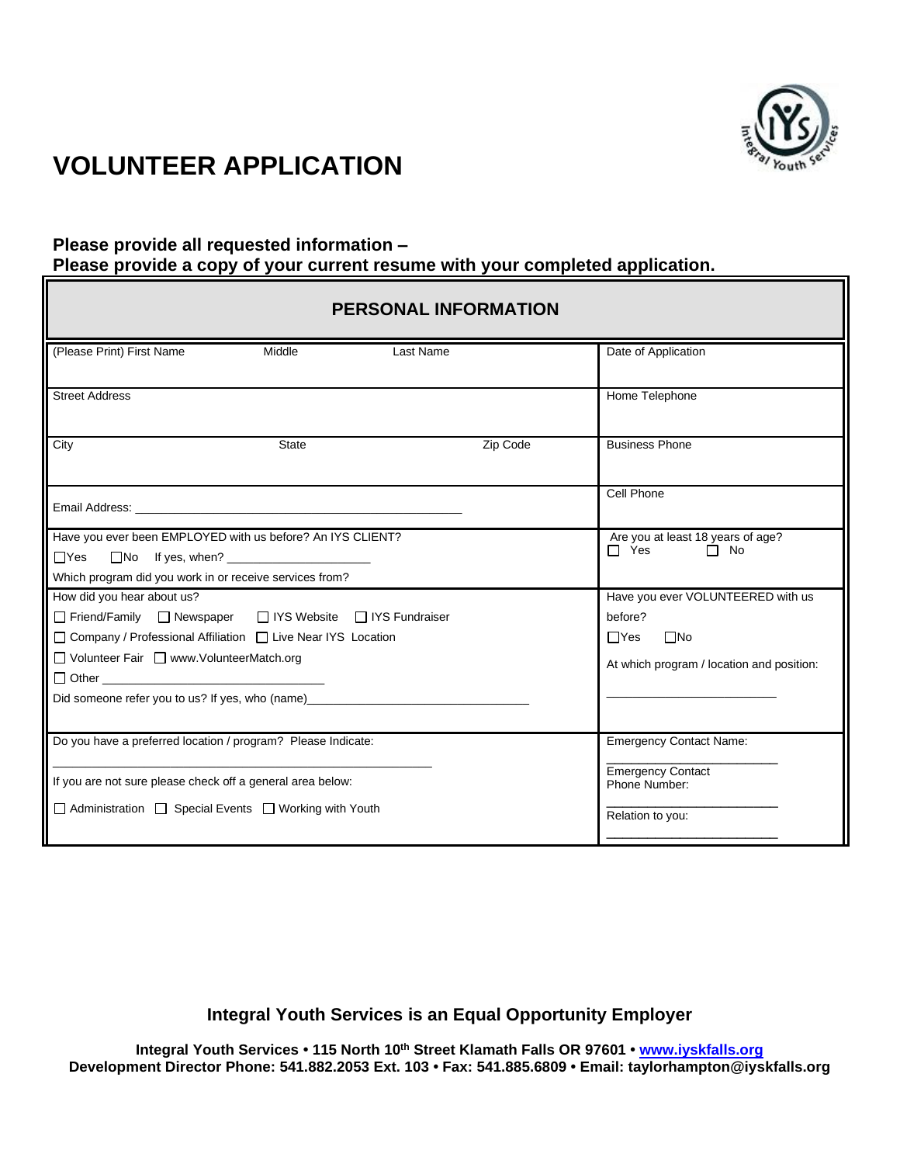

#### **Please provide all requested information – Please provide a copy of your current resume with your completed application.**

| <b>PERSONAL INFORMATION</b>                                                      |                         |                                                              |  |
|----------------------------------------------------------------------------------|-------------------------|--------------------------------------------------------------|--|
| Middle<br>(Please Print) First Name<br>Last Name                                 |                         | Date of Application                                          |  |
| <b>Street Address</b>                                                            |                         | Home Telephone                                               |  |
| State<br>City                                                                    | Zip Code                | <b>Business Phone</b>                                        |  |
|                                                                                  |                         | Cell Phone                                                   |  |
| Have you ever been EMPLOYED with us before? An IYS CLIENT?                       |                         | Are you at least 18 years of age?<br>$\Box$ Yes<br>$\Box$ No |  |
| $\Box$ Yes<br>$\Box$ No If yes, when? $\Box$                                     |                         |                                                              |  |
| Which program did you work in or receive services from?                          |                         |                                                              |  |
| How did you hear about us?                                                       |                         | Have you ever VOLUNTEERED with us                            |  |
| □ Friend/Family □ Newspaper □ IYS Website □ IYS Fundraiser                       |                         | before?                                                      |  |
| □ Company / Professional Affiliation □ Live Near IYS Location                    | $\Box$ No<br>$\Box$ Yes |                                                              |  |
| □ Volunteer Fair □ www.VolunteerMatch.org                                        |                         | At which program / location and position:                    |  |
|                                                                                  |                         |                                                              |  |
| Did someone refer you to us? If yes, who (name)_________________________________ |                         |                                                              |  |
| Do you have a preferred location / program? Please Indicate:                     |                         | <b>Emergency Contact Name:</b>                               |  |
| If you are not sure please check off a general area below:                       |                         | <b>Emergency Contact</b><br>Phone Number:                    |  |
| $\Box$ Administration $\Box$ Special Events $\Box$ Working with Youth            |                         | Relation to you:                                             |  |

**Integral Youth Services is an Equal Opportunity Employer**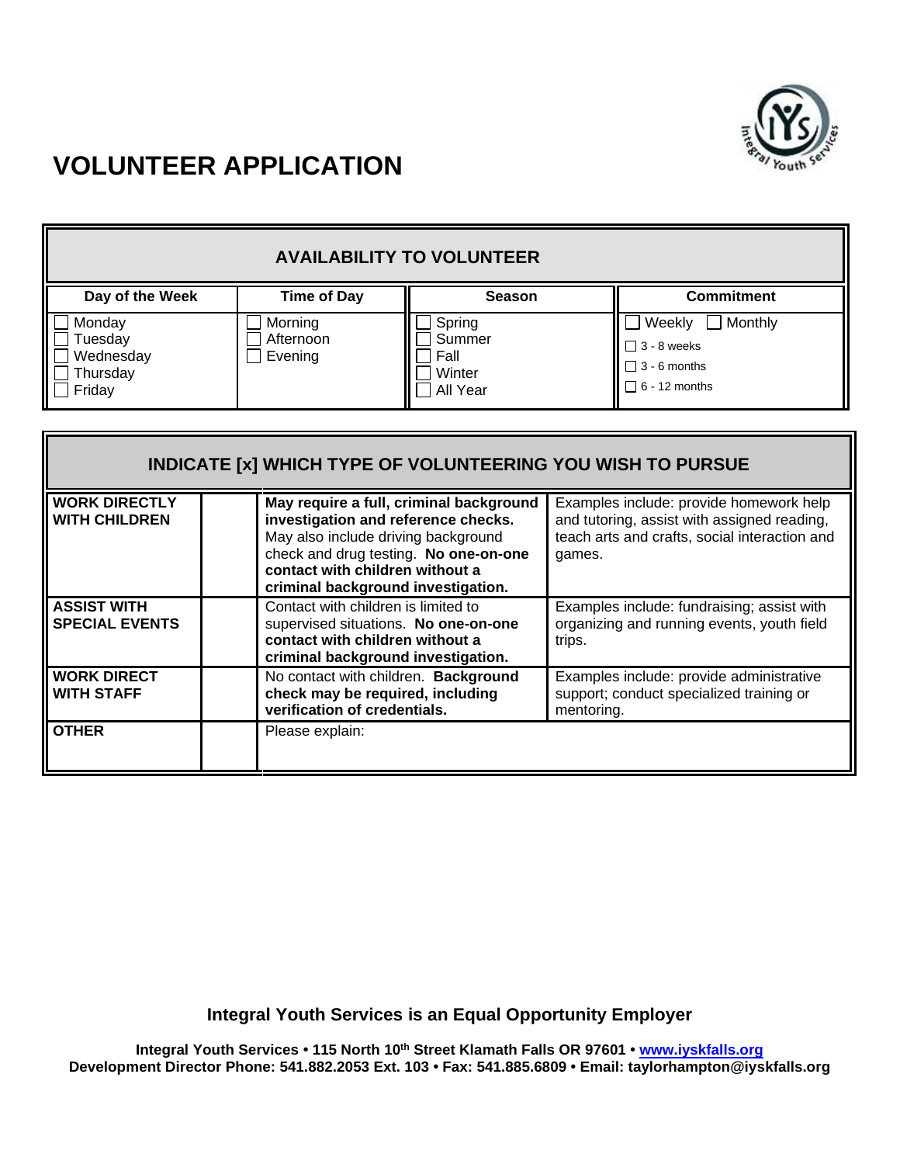

| <b>AVAILABILITY TO VOLUNTEER</b>                     |                                 |                                                |                                                                                        |
|------------------------------------------------------|---------------------------------|------------------------------------------------|----------------------------------------------------------------------------------------|
| Day of the Week                                      | <b>Time of Day</b>              | <b>Season</b>                                  | <b>Commitment</b>                                                                      |
| Monday<br>Tuesday<br>Wednesday<br>Thursday<br>Friday | Morning<br>Afternoon<br>Evening | Spring<br>Summer<br>Fall<br>Winter<br>All Year | Monthly<br>Weekly<br>$\Box$ 3 - 8 weeks<br>$\Box$ 3 - 6 months<br>$\Box$ 6 - 12 months |

| <b>INDICATE [x] WHICH TYPE OF VOLUNTEERING YOU WISH TO PURSUE</b> |  |                                                                                                                                                                                                                                         |                                                                                                                                                   |
|-------------------------------------------------------------------|--|-----------------------------------------------------------------------------------------------------------------------------------------------------------------------------------------------------------------------------------------|---------------------------------------------------------------------------------------------------------------------------------------------------|
| <b>WORK DIRECTLY</b><br><b>WITH CHILDREN</b>                      |  | May require a full, criminal background<br>investigation and reference checks.<br>May also include driving background<br>check and drug testing. No one-on-one<br>contact with children without a<br>criminal background investigation. | Examples include: provide homework help<br>and tutoring, assist with assigned reading,<br>teach arts and crafts, social interaction and<br>games. |
| <b>ASSIST WITH</b><br><b>SPECIAL EVENTS</b>                       |  | Contact with children is limited to<br>supervised situations. No one-on-one<br>contact with children without a<br>criminal background investigation.                                                                                    | Examples include: fundraising; assist with<br>organizing and running events, youth field<br>trips.                                                |
| <b>WORK DIRECT</b><br><b>WITH STAFF</b>                           |  | No contact with children. Background<br>check may be required, including<br>verification of credentials.                                                                                                                                | Examples include: provide administrative<br>support; conduct specialized training or<br>mentoring.                                                |
| <b>OTHER</b>                                                      |  | Please explain:                                                                                                                                                                                                                         |                                                                                                                                                   |

**Integral Youth Services is an Equal Opportunity Employer**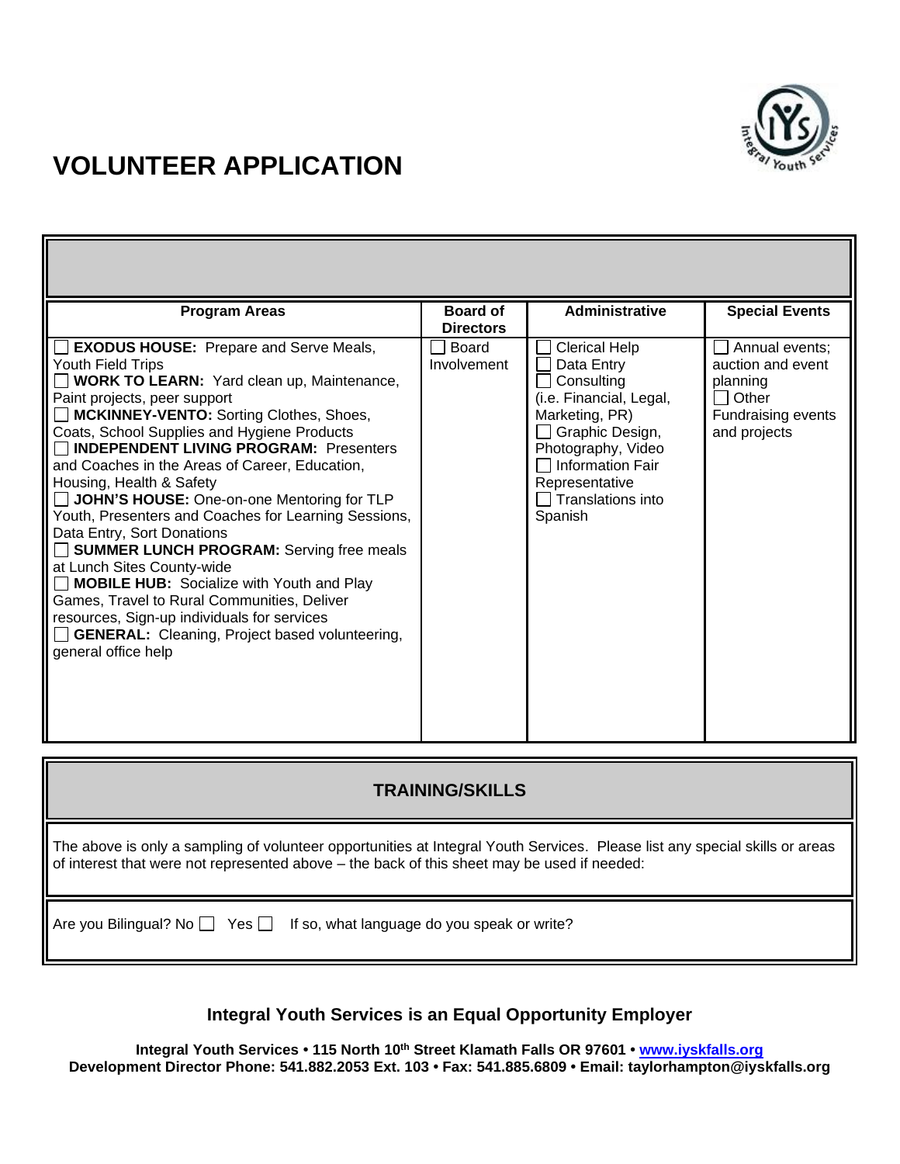

| <b>Program Areas</b>                                                                                                                                                                                                                                                                                                                                                                                                                                                                                                                                                                                                                                                                                                                                                                                                             | <b>Board of</b><br><b>Directors</b> | <b>Administrative</b>                                                                                                                                                                                               | <b>Special Events</b>                                                                                                   |
|----------------------------------------------------------------------------------------------------------------------------------------------------------------------------------------------------------------------------------------------------------------------------------------------------------------------------------------------------------------------------------------------------------------------------------------------------------------------------------------------------------------------------------------------------------------------------------------------------------------------------------------------------------------------------------------------------------------------------------------------------------------------------------------------------------------------------------|-------------------------------------|---------------------------------------------------------------------------------------------------------------------------------------------------------------------------------------------------------------------|-------------------------------------------------------------------------------------------------------------------------|
| <b>EXODUS HOUSE:</b> Prepare and Serve Meals,<br>Youth Field Trips<br><b>WORK TO LEARN:</b> Yard clean up, Maintenance,<br>Paint projects, peer support<br>MCKINNEY-VENTO: Sorting Clothes, Shoes,<br>Coats, School Supplies and Hygiene Products<br><b>INDEPENDENT LIVING PROGRAM: Presenters</b><br>and Coaches in the Areas of Career, Education,<br>Housing, Health & Safety<br>JOHN'S HOUSE: One-on-one Mentoring for TLP<br>Youth, Presenters and Coaches for Learning Sessions,<br>Data Entry, Sort Donations<br>SUMMER LUNCH PROGRAM: Serving free meals<br>at Lunch Sites County-wide<br><b>MOBILE HUB:</b> Socialize with Youth and Play<br>Games, Travel to Rural Communities, Deliver<br>resources, Sign-up individuals for services<br><b>GENERAL:</b> Cleaning, Project based volunteering,<br>general office help | Board<br>Involvement                | <b>Clerical Help</b><br>Data Entry<br>Consulting<br>(i.e. Financial, Legal,<br>Marketing, PR)<br>Graphic Design,<br>Photography, Video<br>$\Box$ Information Fair<br>Representative<br>Translations into<br>Spanish | Annual events;<br>auction and event<br>planning<br>Other<br>$\blacksquare$<br><b>Fundraising events</b><br>and projects |

### **TRAINING/SKILLS**

**.** The above is only a sampling of volunteer opportunities at Integral Youth Services. Please list any special skills or areas of interest that were not represented above – the back of this sheet may be used if needed:

Are you Bilingual? No  $\Box$  Yes  $\Box$  If so, what language do you speak or write?

### **Integral Youth Services is an Equal Opportunity Employer**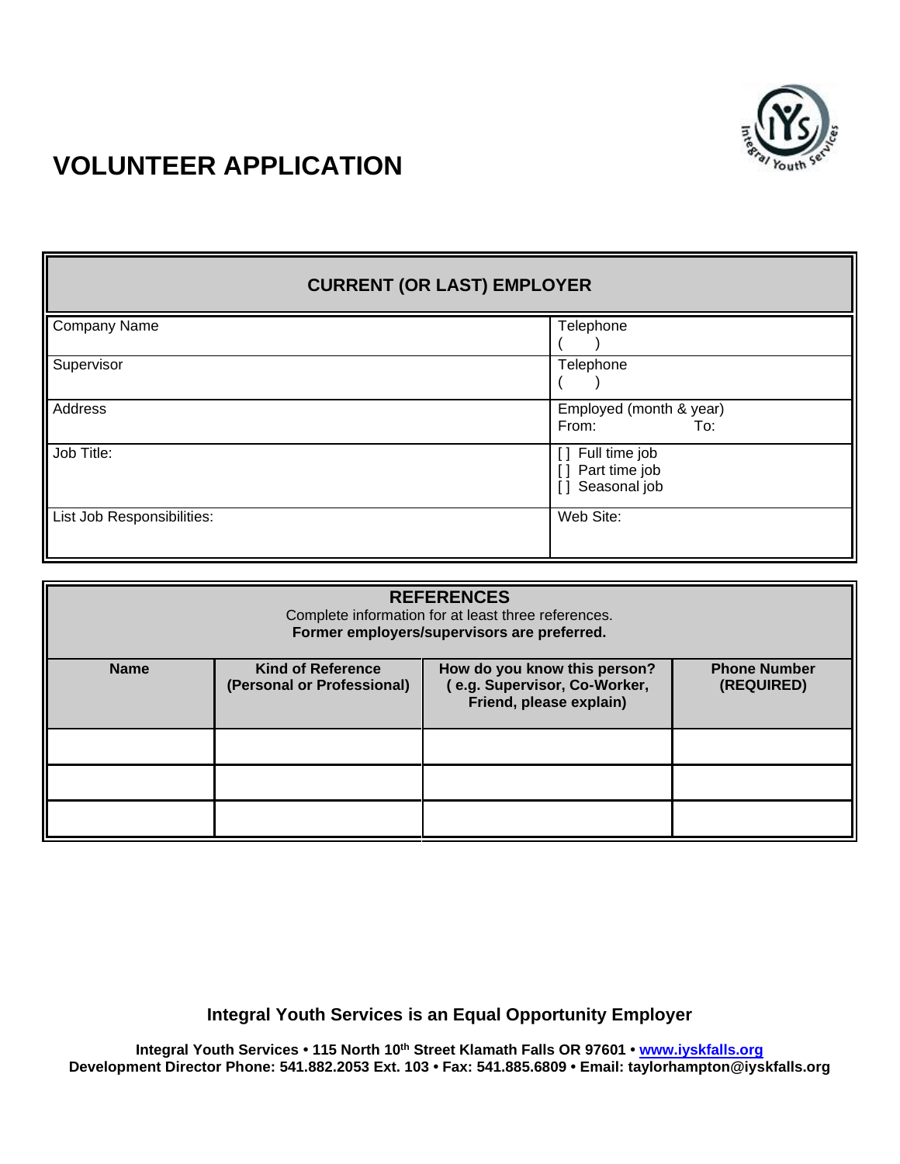

## **CURRENT (OR LAST) EMPLOYER** Company Name Telephone  $($ Supervisor Telephone  $($   $)$ Address **Employed** (month & year) From: To: Job Title:  $\begin{array}{c} \begin{array}{c} \end{array}$  [ ] Full time job [ ] Part time job [ ] Seasonal job List Job Responsibilities: Web Site: Web Site:

| <b>REFERENCES</b><br>Complete information for at least three references.<br>Former employers/supervisors are preferred. |                                                                                                                                                                                       |  |  |  |
|-------------------------------------------------------------------------------------------------------------------------|---------------------------------------------------------------------------------------------------------------------------------------------------------------------------------------|--|--|--|
| <b>Name</b>                                                                                                             | <b>Kind of Reference</b><br><b>Phone Number</b><br>How do you know this person?<br>e.g. Supervisor, Co-Worker,<br>(Personal or Professional)<br>(REQUIRED)<br>Friend, please explain) |  |  |  |
|                                                                                                                         |                                                                                                                                                                                       |  |  |  |
|                                                                                                                         |                                                                                                                                                                                       |  |  |  |
|                                                                                                                         |                                                                                                                                                                                       |  |  |  |

**Integral Youth Services is an Equal Opportunity Employer**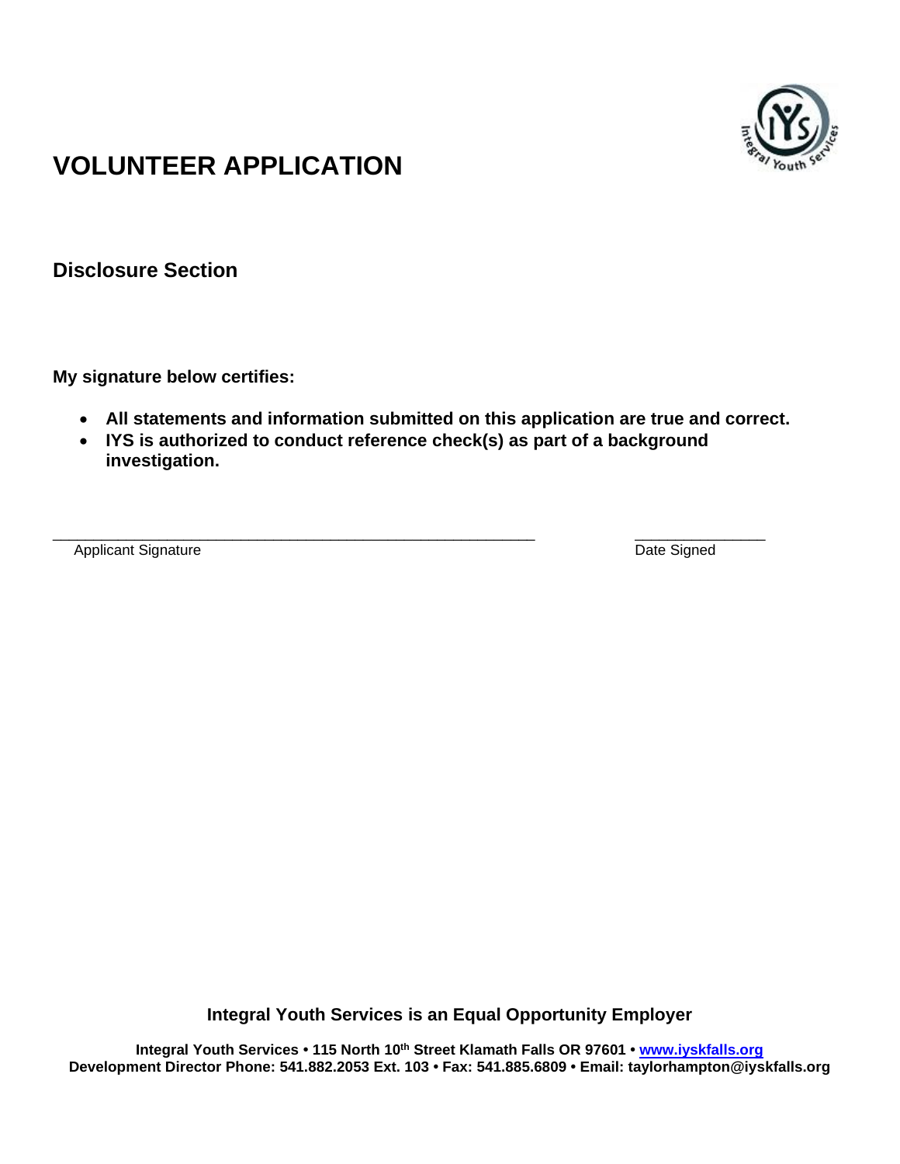

**Disclosure Section**

**My signature below certifies:**

- **All statements and information submitted on this application are true and correct.**
- **IYS is authorized to conduct reference check(s) as part of a background investigation.**

Applicant Signature Date Signed

\_\_\_\_\_\_\_\_\_\_\_\_\_\_\_\_\_\_\_\_\_\_\_\_\_\_\_\_\_\_\_\_\_\_\_\_\_\_\_\_\_\_\_\_\_\_\_\_\_\_\_\_\_\_\_\_\_\_\_ \_\_\_\_\_\_\_\_\_\_\_\_\_\_\_\_

**Integral Youth Services is an Equal Opportunity Employer**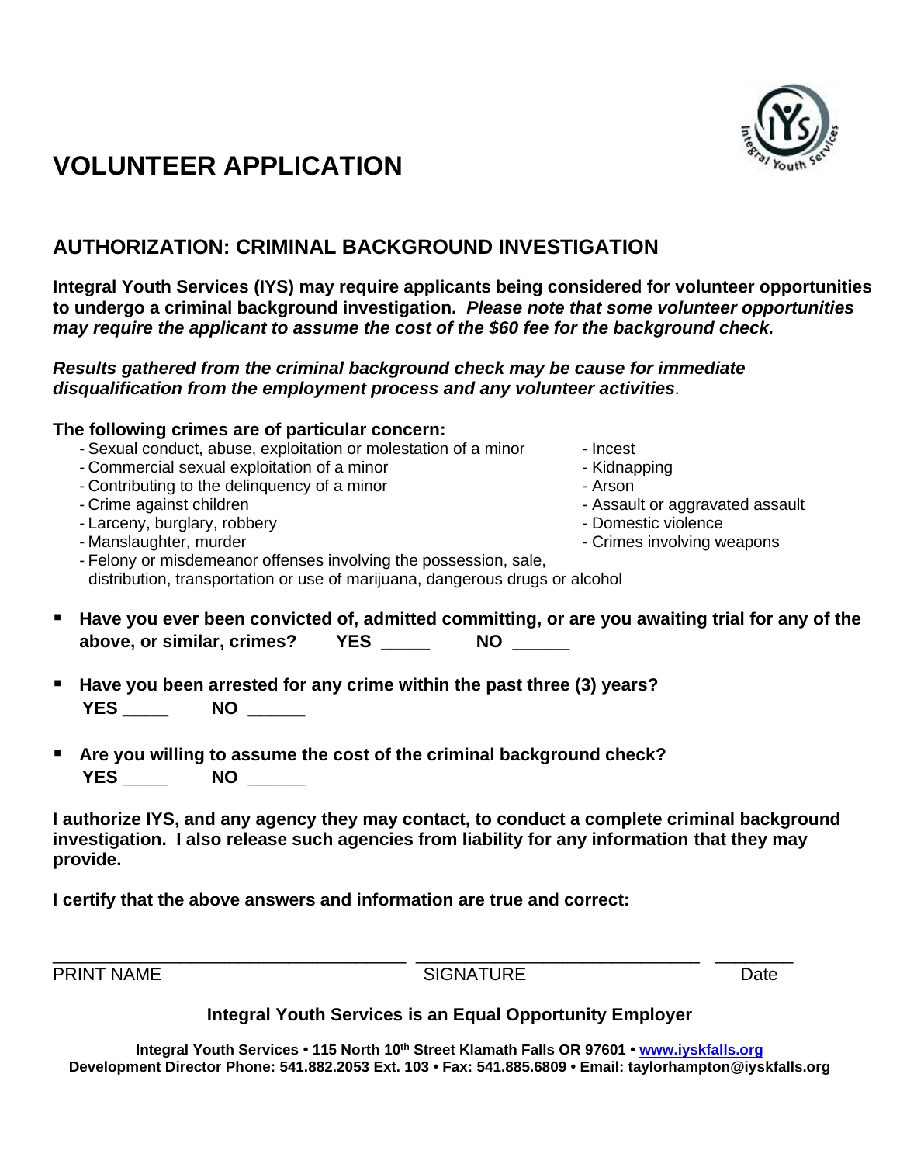## **AUTHORIZATION: CRIMINAL BACKGROUND INVESTIGATION**

**Integral Youth Services (IYS) may require applicants being considered for volunteer opportunities to undergo a criminal background investigation.** *Please note that some volunteer opportunities may require the applicant to assume the cost of the \$60 fee for the background check.*

### *Results gathered from the criminal background check may be cause for immediate disqualification from the employment process and any volunteer activities.*

## **The following crimes are of particular concern:**

- Sexual conduct, abuse, exploitation or molestation of a minor Incest
- Commercial sexual exploitation of a minor The Commercial sexual exploitation of a minor
- Contributing to the delinquency of a minor **Following**  $\sim$  Arson
- Crime against children Assault or aggravated assault or aggravated assault or aggravated assault
- Larceny, burglary, robbery  $\sim$  2000  $\sim$  Domestic violence
- Manslaughter, murder  $\blacksquare$  Manslaughter, murder  $\blacksquare$
- Felony or misdemeanor offenses involving the possession, sale, distribution, transportation or use of marijuana, dangerous drugs or alcohol
- Have you ever been convicted of, admitted committing, or are you awaiting trial for any of the **above, or similar, crimes? YES \_\_\_\_\_ NO \_\_\_\_\_**
- **Have you been arrested for any crime within the past three (3) years? YES \_\_\_\_ NO \_\_\_\_\_**
- Are you willing to assume the cost of the criminal background check?  **YES \_\_\_\_ NO \_\_\_\_\_**

**I authorize IYS, and any agency they may contact, to conduct a complete criminal background investigation. I also release such agencies from liability for any information that they may provide.** 

**I certify that the above answers and information are true and correct:**

\_\_\_\_\_\_\_\_\_\_\_\_\_\_\_\_\_\_\_\_\_\_\_\_\_\_\_\_\_\_\_\_\_\_\_\_ \_\_\_\_\_\_\_\_\_\_\_\_\_\_\_\_\_\_\_\_\_\_\_\_\_\_\_\_\_ \_\_\_\_\_\_\_\_ PRINT NAME CONSIDERING SIGNATURE CONSIDERING Date

### **Integral Youth Services is an Equal Opportunity Employer**

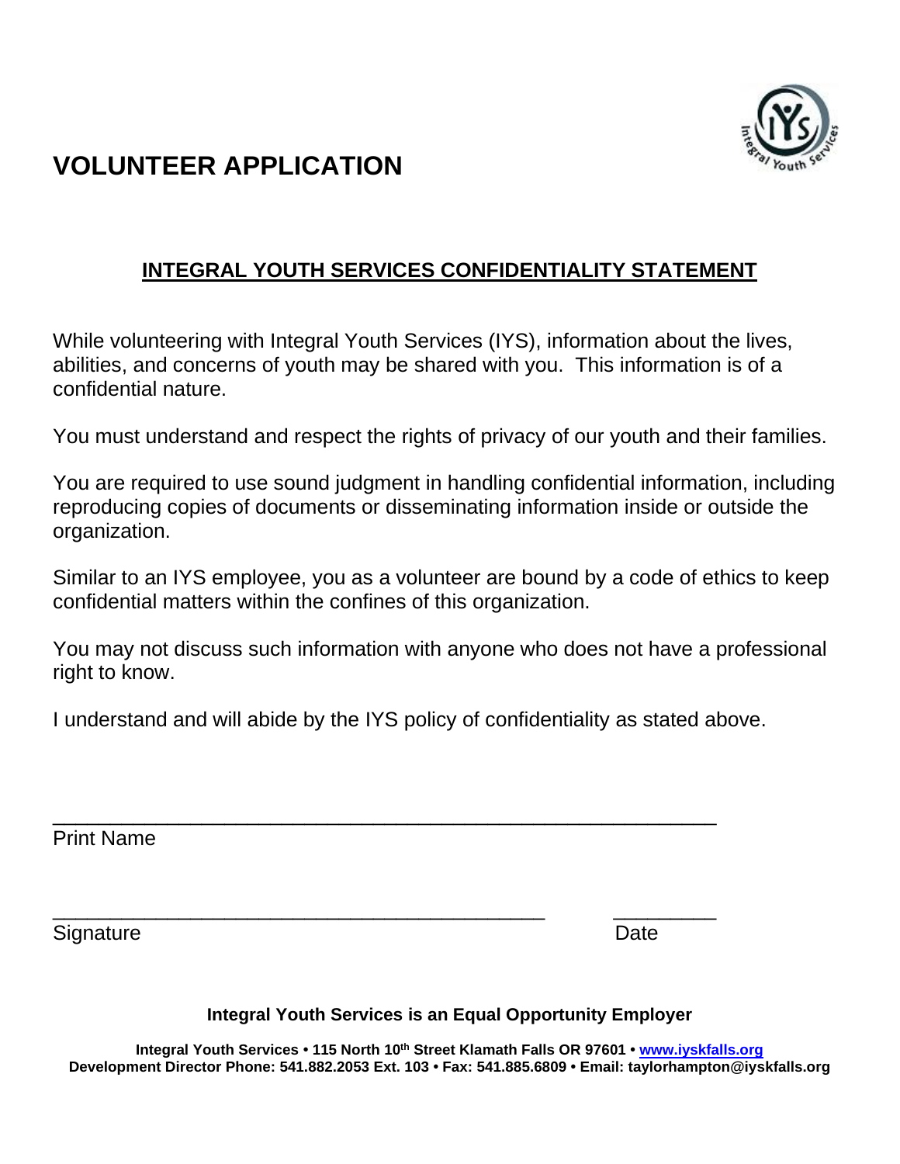

## **INTEGRAL YOUTH SERVICES CONFIDENTIALITY STATEMENT**

While volunteering with Integral Youth Services (IYS), information about the lives, abilities, and concerns of youth may be shared with you. This information is of a confidential nature.

You must understand and respect the rights of privacy of our youth and their families.

You are required to use sound judgment in handling confidential information, including reproducing copies of documents or disseminating information inside or outside the organization.

Similar to an IYS employee, you as a volunteer are bound by a code of ethics to keep confidential matters within the confines of this organization.

You may not discuss such information with anyone who does not have a professional right to know.

I understand and will abide by the IYS policy of confidentiality as stated above.

\_\_\_\_\_\_\_\_\_\_\_\_\_\_\_\_\_\_\_\_\_\_\_\_\_\_\_\_\_\_\_\_\_\_\_\_\_\_\_\_\_\_\_\_\_\_\_\_\_\_\_\_\_\_\_\_\_\_

Print Name

Signature **Date** 

\_\_\_\_\_\_\_\_\_\_\_\_\_\_\_\_\_\_\_\_\_\_\_\_\_\_\_\_\_\_\_\_\_\_\_\_\_\_\_\_\_\_\_ \_\_\_\_\_\_\_\_\_

**Integral Youth Services is an Equal Opportunity Employer**